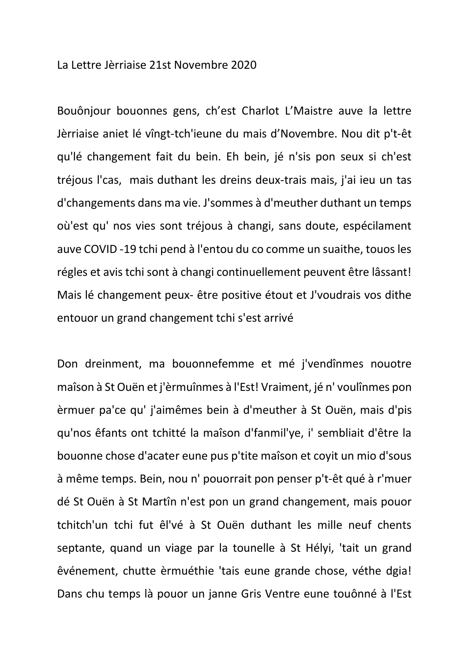La Lettre Jèrriaise 21st Novembre 2020

Bouônjour bouonnes gens, ch'est Charlot L'Maistre auve la lettre Jèrriaise aniet lé vîngt-tch'ieune du mais d'Novembre. Nou dit p't-êt qu'lé changement fait du bein. Eh bein, jé n'sis pon seux si ch'est tréjous l'cas, mais duthant les dreins deux-trais mais, j'ai ieu un tas d'changements dans ma vie. J'sommes à d'meuther duthant un temps où'est qu' nos vies sont tréjous à changi, sans doute, espécilament auve COVID -19 tchi pend à l'entou du co comme un suaithe, touos les régles et avis tchi sont à changi continuellement peuvent être lâssant! Mais lé changement peux- être positive étout et J'voudrais vos dithe entouor un grand changement tchi s'est arrivé

Don dreinment, ma bouonnefemme et mé j'vendînmes nouotre maîson à St Ouën et j'èrmuînmes à l'Est! Vraiment, jé n' voulînmes pon èrmuer pa'ce qu' j'aimêmes bein à d'meuther à St Ouën, mais d'pis qu'nos êfants ont tchitté la maîson d'fanmil'ye, i' sembliait d'être la bouonne chose d'acater eune pus p'tite maîson et coyit un mio d'sous à même temps. Bein, nou n' pouorrait pon penser p't-êt qué à r'muer dé St Ouën à St Martîn n'est pon un grand changement, mais pouor tchitch'un tchi fut êl'vé à St Ouën duthant les mille neuf chents septante, quand un viage par la tounelle à St Hélyi, 'tait un grand êvénement, chutte èrmuéthie 'tais eune grande chose, véthe dgia! Dans chu temps là pouor un janne Gris Ventre eune touônné à l'Est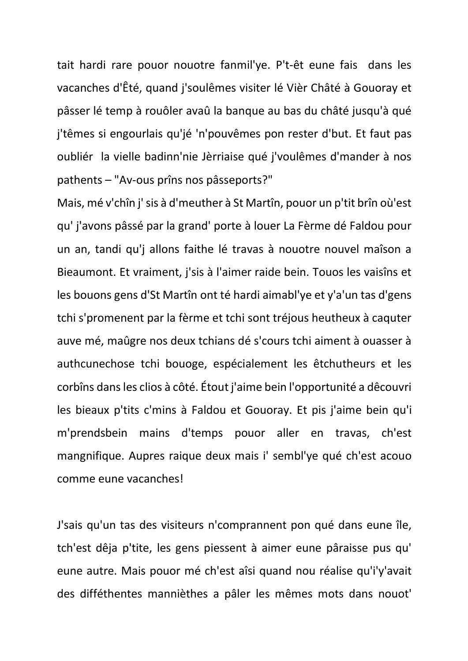tait hardi rare pouor nouotre fanmil'ye. P't-êt eune fais dans les vacanches d'Êté, quand j'soulêmes visiter lé Vièr Châté à Gouoray et pâsser lé temp à rouôler avaû la banque au bas du châté jusqu'à qué j'têmes si engourlais qu'jé 'n'pouvêmes pon rester d'but. Et faut pas oubliér la vielle badinn'nie Jèrriaise qué j'voulêmes d'mander à nos pathents – "Av-ous prîns nos pâsseports?"

Mais, mé v'chîn j' sis à d'meuther à St Martîn, pouor un p'tit brîn où'est qu' j'avons pâssé par la grand' porte à louer La Fèrme dé Faldou pour un an, tandi qu'j allons faithe lé travas à nouotre nouvel maîson a Bieaumont. Et vraiment, j'sis à l'aimer raide bein. Touos les vaisîns et les bouons gens d'St Martîn ont té hardi aimabl'ye et y'a'un tas d'gens tchi s'promenent par la fèrme et tchi sont tréjous heutheux à caquter auve mé, maûgre nos deux tchians dé s'cours tchi aiment à ouasser à authcunechose tchi bouoge, espécialement les êtchutheurs et les corbîns dans les clios à côté. Étout j'aime bein l'opportunité a dêcouvri les bieaux p'tits c'mins à Faldou et Gouoray. Et pis j'aime bein qu'i m'prendsbein mains d'temps pouor aller en travas, ch'est mangnifique. Aupres raique deux mais i' sembl'ye qué ch'est acouo comme eune vacanches!

J'sais qu'un tas des visiteurs n'comprannent pon qué dans eune île, tch'est dêja p'tite, les gens piessent à aimer eune pâraisse pus qu' eune autre. Mais pouor mé ch'est aîsi quand nou réalise qu'i'y'avait des difféthentes mannièthes a pâler les mêmes mots dans nouot'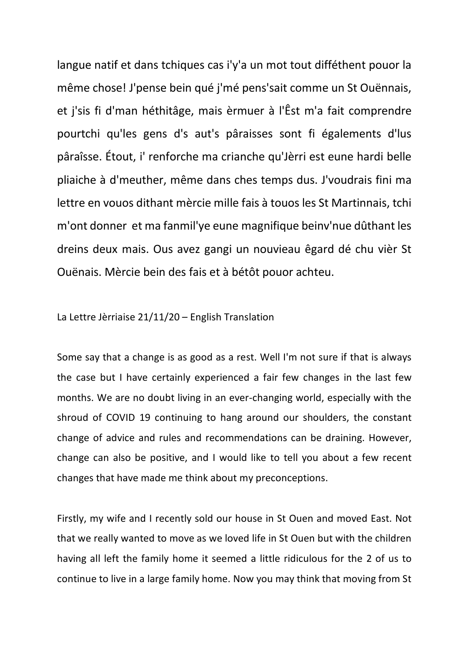langue natif et dans tchiques cas i'y'a un mot tout difféthent pouor la même chose! J'pense bein qué j'mé pens'sait comme un St Ouënnais, et j'sis fi d'man héthitâge, mais èrmuer à l'Êst m'a fait comprendre pourtchi qu'les gens d's aut's pâraisses sont fi égalements d'lus pâraîsse. Étout, i' renforche ma crianche qu'Jèrri est eune hardi belle pliaiche à d'meuther, même dans ches temps dus. J'voudrais fini ma lettre en vouos dithant mèrcie mille fais à touos les St Martinnais, tchi m'ont donner et ma fanmil'ye eune magnifique beinv'nue dûthant les dreins deux mais. Ous avez gangi un nouvieau êgard dé chu vièr St Ouënais. Mèrcie bein des fais et à bétôt pouor achteu.

## La Lettre Jèrriaise 21/11/20 – English Translation

Some say that a change is as good as a rest. Well I'm not sure if that is always the case but I have certainly experienced a fair few changes in the last few months. We are no doubt living in an ever-changing world, especially with the shroud of COVID 19 continuing to hang around our shoulders, the constant change of advice and rules and recommendations can be draining. However, change can also be positive, and I would like to tell you about a few recent changes that have made me think about my preconceptions.

Firstly, my wife and I recently sold our house in St Ouen and moved East. Not that we really wanted to move as we loved life in St Ouen but with the children having all left the family home it seemed a little ridiculous for the 2 of us to continue to live in a large family home. Now you may think that moving from St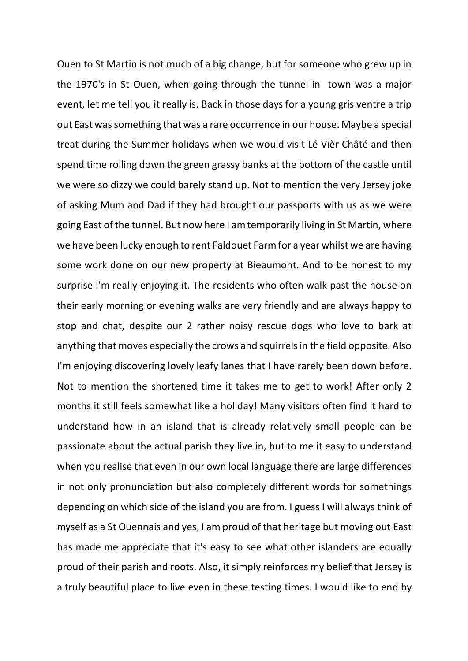Ouen to St Martin is not much of a big change, but for someone who grew up in the 1970's in St Ouen, when going through the tunnel in town was a major event, let me tell you it really is. Back in those days for a young gris ventre a trip out East was something that was a rare occurrence in our house. Maybe a special treat during the Summer holidays when we would visit Lé Vièr Châté and then spend time rolling down the green grassy banks at the bottom of the castle until we were so dizzy we could barely stand up. Not to mention the very Jersey joke of asking Mum and Dad if they had brought our passports with us as we were going East of the tunnel. But now here I am temporarily living in St Martin, where we have been lucky enough to rent Faldouet Farm for a year whilst we are having some work done on our new property at Bieaumont. And to be honest to my surprise I'm really enjoying it. The residents who often walk past the house on their early morning or evening walks are very friendly and are always happy to stop and chat, despite our 2 rather noisy rescue dogs who love to bark at anything that moves especially the crows and squirrels in the field opposite. Also I'm enjoying discovering lovely leafy lanes that I have rarely been down before. Not to mention the shortened time it takes me to get to work! After only 2 months it still feels somewhat like a holiday! Many visitors often find it hard to understand how in an island that is already relatively small people can be passionate about the actual parish they live in, but to me it easy to understand when you realise that even in our own local language there are large differences in not only pronunciation but also completely different words for somethings depending on which side of the island you are from. I guess I will always think of myself as a St Ouennais and yes, I am proud of that heritage but moving out East has made me appreciate that it's easy to see what other islanders are equally proud of their parish and roots. Also, it simply reinforces my belief that Jersey is a truly beautiful place to live even in these testing times. I would like to end by